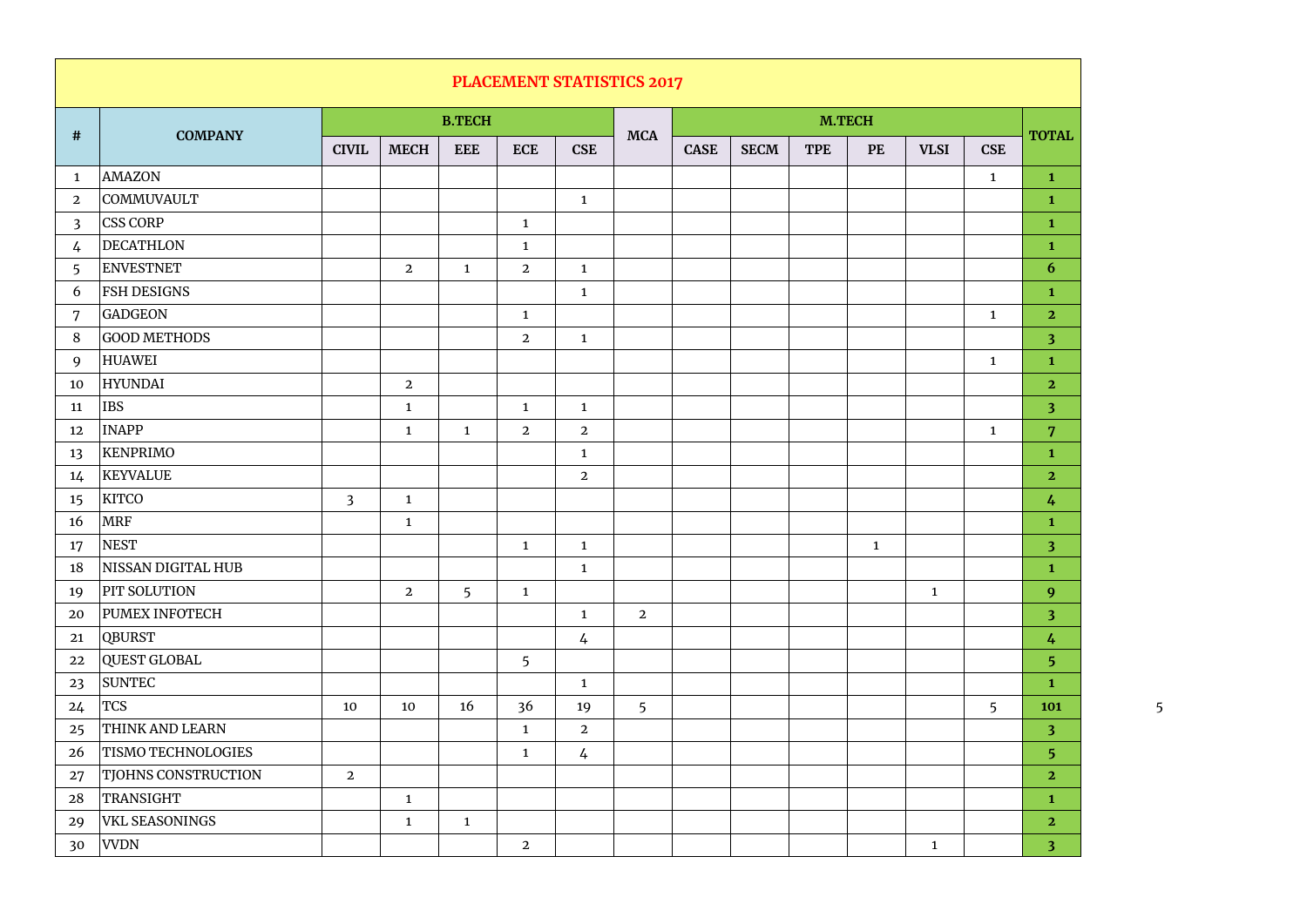| <b>SE</b>    | <b>TOTAL</b>                                                                          |
|--------------|---------------------------------------------------------------------------------------|
| $\mathbf{1}$ | 1                                                                                     |
|              | 1                                                                                     |
|              | $\mathbf{1}$                                                                          |
|              | $\frac{1}{6}$                                                                         |
|              |                                                                                       |
|              | $\overline{\mathbf{1}}$                                                               |
| $\mathbf{1}$ | $\frac{-2}{3}$ $\frac{1}{1}$ $\frac{-2}{3}$ $\frac{7}{7}$ $\frac{1}{1}$ $\frac{2}{4}$ |
|              |                                                                                       |
| $\mathbf{1}$ |                                                                                       |
|              |                                                                                       |
|              |                                                                                       |
| $\mathbf{1}$ |                                                                                       |
|              |                                                                                       |
|              |                                                                                       |
|              |                                                                                       |
|              | 1                                                                                     |
|              | 3                                                                                     |
|              | $\frac{1}{1}$                                                                         |
|              |                                                                                       |
|              |                                                                                       |
|              | $\frac{-9}{3}$ $\frac{3}{4}$ $\frac{4}{5}$ $\frac{-1}{1}$                             |
|              |                                                                                       |
|              |                                                                                       |
| 5            | 101                                                                                   |
|              |                                                                                       |
|              | $3 - 5 - 2 - 1 - 2 - 3$                                                               |
|              |                                                                                       |
|              |                                                                                       |
|              |                                                                                       |
|              |                                                                                       |

| <b>PLACEMENT STATISTICS 2017</b> |                            |                |                |                |                |                |                |               |             |            |              |              |                |                         |
|----------------------------------|----------------------------|----------------|----------------|----------------|----------------|----------------|----------------|---------------|-------------|------------|--------------|--------------|----------------|-------------------------|
|                                  | <b>COMPANY</b>             | <b>B.TECH</b>  |                |                |                |                |                | <b>M.TECH</b> |             |            |              |              |                |                         |
| #                                |                            | <b>CIVIL</b>   | <b>MECH</b>    | <b>EEE</b>     | <b>ECE</b>     | <b>CSE</b>     | <b>MCA</b>     | <b>CASE</b>   | <b>SECM</b> | <b>TPE</b> | <b>PE</b>    | <b>VLSI</b>  | <b>CSE</b>     | <b>TOTAL</b>            |
| $\mathbf{1}$                     | AMAZON                     |                |                |                |                |                |                |               |             |            |              |              | $\mathbf{1}$   | $\mathbf{1}$            |
| $\overline{2}$                   | COMMUVAULT                 |                |                |                |                | $\mathbf{1}$   |                |               |             |            |              |              |                | $\mathbf{1}$            |
| $\overline{\mathbf{3}}$          | $ CSS \space \text{CORP}$  |                |                |                | $\mathbf{1}$   |                |                |               |             |            |              |              |                | $\mathbf{1}$            |
| $\frac{1}{4}$                    | DECATHLON                  |                |                |                | $\mathbf{1}$   |                |                |               |             |            |              |              |                | $\mathbf{1}$            |
| 5 <sup>5</sup>                   | ENVESTNET                  |                | $\overline{2}$ | $\mathbf{1}$   | $\overline{2}$ | $\mathbf{1}$   |                |               |             |            |              |              |                | 6                       |
| 6                                | <b>FSH DESIGNS</b>         |                |                |                |                | $\mathbf{1}$   |                |               |             |            |              |              |                | $\mathbf{1}$            |
| 7                                | GADGEON                    |                |                |                | $\mathbf{1}$   |                |                |               |             |            |              |              | $\mathbf{1}$   | $\overline{2}$          |
| 8                                | GOOD METHODS               |                |                |                | $\overline{2}$ | $\mathbf{1}$   |                |               |             |            |              |              |                | $\overline{3}$          |
| 9                                | HUAWEI                     |                |                |                |                |                |                |               |             |            |              |              | $\mathbf{1}$   | $\mathbf{1}$            |
| 10                               | HYUNDAI                    |                | $\overline{2}$ |                |                |                |                |               |             |            |              |              |                | $\overline{2}$          |
| 11                               | IBS                        |                | $\mathbf{1}$   |                | $\mathbf{1}$   | $\mathbf{1}$   |                |               |             |            |              |              |                | 3 <sup>2</sup>          |
| 12                               | <b>INAPP</b>               |                | $\mathbf{1}$   | $\mathbf{1}$   | $\overline{2}$ | $\overline{2}$ |                |               |             |            |              |              | $\mathbf{1}$   | $\overline{7}$          |
| 13                               | KENPRIMO                   |                |                |                |                | $\mathbf{1}$   |                |               |             |            |              |              |                | $\mathbf{1}$            |
| 14                               | KEYVALUE                   |                |                |                |                | $\overline{2}$ |                |               |             |            |              |              |                | 2 <sub>1</sub>          |
| 15                               | KITCO                      | $\overline{3}$ | $\mathbf{1}$   |                |                |                |                |               |             |            |              |              |                | $\frac{1}{4}$           |
| 16                               | MRF                        |                | $\mathbf{1}$   |                |                |                |                |               |             |            |              |              |                | $\mathbf{1}$            |
| 17                               | NEST                       |                |                |                | $\mathbf{1}$   | $\mathbf{1}$   |                |               |             |            | $\mathbf{1}$ |              |                | $\overline{\mathbf{3}}$ |
| 18                               | NISSAN DIGITAL HUB         |                |                |                |                | $\mathbf{1}$   |                |               |             |            |              |              |                | $\mathbf{1}$            |
| 19                               | <b>PIT SOLUTION</b>        |                | $\overline{2}$ | 5 <sup>5</sup> | $\mathbf{1}$   |                |                |               |             |            |              | $\mathbf{1}$ |                | 9                       |
| 20                               | <b>PUMEX INFOTECH</b>      |                |                |                |                | $\mathbf{1}$   | $\overline{2}$ |               |             |            |              |              |                | 3 <sup>2</sup>          |
| 21                               | <b>QBURST</b>              |                |                |                |                | $\frac{1}{4}$  |                |               |             |            |              |              |                | $\frac{1}{4}$           |
| 22                               | <b>QUEST GLOBAL</b>        |                |                |                | 5              |                |                |               |             |            |              |              |                | 5 <sub>1</sub>          |
| 23                               | SUNTEC                     |                |                |                |                | $\mathbf{1}$   |                |               |             |            |              |              |                | $\mathbf{1}$            |
| 24                               | <b>TCS</b>                 | 10             | 10             | 16             | 36             | 19             | 5 <sup>5</sup> |               |             |            |              |              | 5 <sup>5</sup> | 101                     |
| 25                               | THINK AND LEARN            |                |                |                | $\mathbf{1}$   | $\overline{2}$ |                |               |             |            |              |              |                | 3 <sup>2</sup>          |
| 26                               | TISMO TECHNOLOGIES         |                |                |                | $\mathbf{1}$   | $\frac{1}{4}$  |                |               |             |            |              |              |                | 5 <sub>5</sub>          |
| 27                               | <b>TJOHNS CONSTRUCTION</b> | $\overline{2}$ |                |                |                |                |                |               |             |            |              |              |                | $\overline{2}$          |
| 28                               | TRANSIGHT                  |                | $\mathbf{1}$   |                |                |                |                |               |             |            |              |              |                | $\mathbf{1}$            |
| 29                               | VKL SEASONINGS             |                | $\mathbf{1}$   | $\mathbf{1}$   |                |                |                |               |             |            |              |              |                | $\overline{2}$          |
| 30                               | VVDN                       |                |                |                | $\overline{2}$ |                |                |               |             |            |              | $\mathbf{1}$ |                | 3 <sup>1</sup>          |